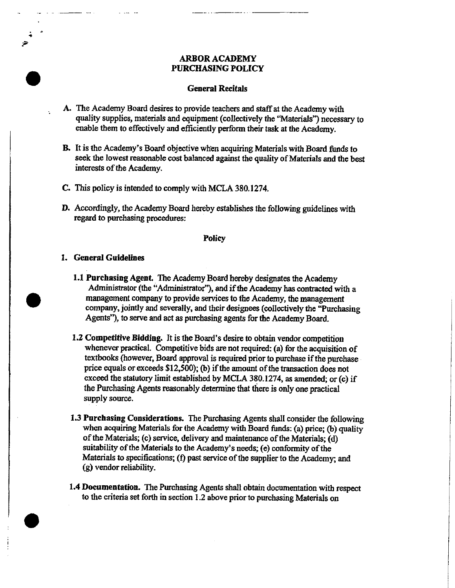# ARBOR ACADEMY PURCHASING POLICY

## **General Recitals**

- A. The Academy Board desires to provide teachers and staff at the Academy with quality supplies, materials and equipment (collectively the "Materials") necessary to enable them to effectively and efficiently perform their task at the Academy.
- B. It is the Academy's Board objective when acquiring Materials with Board funds to seek the lowest reasonable cost balanced against the quality of Matorials and the best interests of the Academy.
- C. This policy is intended to enmply with MCLA 380.1274.
- D. Accordingly, the Academy Board hereby establishes the following guidelines with regard to purchasing procedures:

## **Policy**

### **I. General Guidelines**

- 1.1 Purchasing Agent. The Academy Board hereby designates the Academy Administrator (the "Administrator"), and if the Academy has contracted with a management company to provide services to the Academy, the management company, jointly and severally, and their designees (collectively the "Purchasing Agents"), to serve and act as purchasing agents for the Academy Board.
- **1.2 Competitive Bidding. It is** the Board's desire to obtain vendor competition whenever practical. Competitive bids are not required: (a) for the acquisition of textbooks (however, Board approval is required prior to purchase if the purchase price equals or exceeds \$12,500); (b) if the amount of the transaction does not exceed the statutory limit established by MCLA 380.1274, as amended; or  $(c)$  if the Purchasing Agents reasonably determine that there is only one practical supply source.
- 1.3 Purchasing Considerations. The Purchasing Agents shall consider the following when acquiring Materials for the Academy with Board funds: (a) price; (b) quality of the Materials; (e) service, delivery and maintenance of the Materials; (d) suitability of the Materials to the Academy's *needs;* (e) conformity of the Materials to specifications; (f) past service of the supplier to the Academy; and (g) vendor reliability.
- 1.4 Documentation. The Purchasing Agents shall obtain documentation with respect to the criteria set forth in section 1.2 above prior to purchasing Materials on



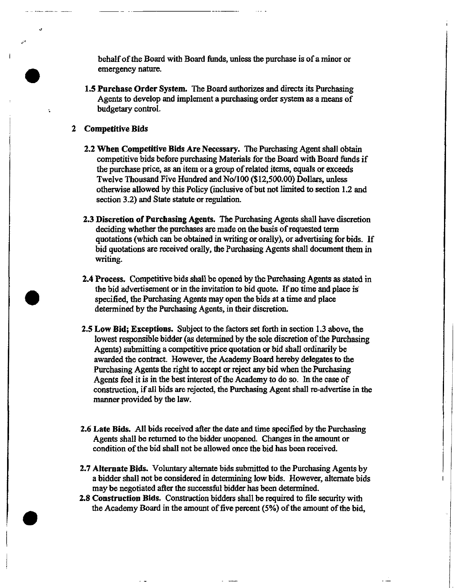behalf of the Board with Board funds, unless the purchase is of a minor or emergency nature.

- 1.5 Purchase Order System. The Board authorizes and directs its Purchasing Agents to develop and implement a purchasing order system as a means of budgetary control.
- **2 Competitive Bids**

 $\mathbf{1}$ 

- 2.2 When Competitive Bids Are Necessary. The Purchasing Agent shall obtain competitive bids before purchasing Materials for the Board with Board funds if the purchase price, as an item or a group of related items, equals or exceeds Twelve Thousand Five Hundred and No/100 (\$12,500.00) Dollars, unless otherwise allowed by this Policy (inclusive of but not limited to section 1.2 and section 3.2) and State statute or regulation.
- 2.3 Discretion of Purchasing Agents. The Purchasing Agents shall have discretion deciding whether the purchases are made on the basis of requested term quotations (which can be obtained in writing or orally), or advertising for bids. If bid quotations are received orally, the Purchasing Agents shall document them in writing.
- 2.4 Process. Competitive bids shall be opened by the Purchasing Agents as stated in the bid advertisement or in the invitation to bid quote. If no time and place is specified, the Purchasing Agents may open the bids at a time and place determined by the Purchasing Agents, in their discretion:
- 2.5 Low Bid; Exceptions. Subject to the factors set forth in section 1.3 above, the lowest responsible bidder (as determined by the sole discretion of the Purchasing Agents) submitting a competitive price quotation or bid shall ordinarily be awarded the contract. However, the Academy Board hereby delegates to the Purchasing Agents the right to accept or reject any bid when the Purchasing Agents feel it is in the best interest of the Academy to do so. In the case of construction, if all bids are rejected, the Purchasing Agent shall re-advertise in the manner provided by the law.
- 2.6 Late Bids. All bids received after the date and time specified by the Purchasing Agents shall be returned to the bidder unopened. Changes in the amount or condition of the bid shall not be allowed once the bid has been received.
- 2.7 Alternate Bids. Voluntary alternate bids submitted to the Purchasing Agents by a bidder shall not be considered in determining low bids. However, alternate bids may be negotiated after the successful bidder has been determined.
- 2.8 Construction Bids. Construction bidders shall be required to file security with the Academy Board in the amount of five percent  $(5%)$  of the amount of the bid,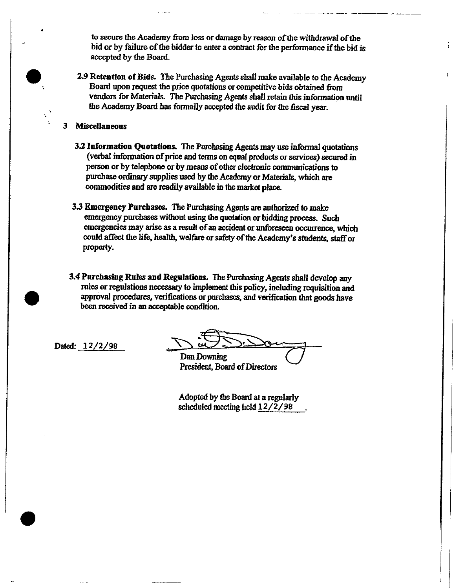to secure the Academy from loss or damage by reason of the withdrawal of the bid or by failure of the bidder to enter a contract for the performance if the bid is accepted by the Board.

2.9Retention of Bids. The Purohasing Agents shall make available to the Academy Board upon request the price quotations or competitive bids obtained from vendors for Materials. The Purchasing Agents shall retain this information until the Academy Board has formally accepted the audit for the fiscal year.

# 3 Miscellaneous

- 3.2 Information Quotations. The Parchasing Agents may use informal quotations (verbal information of price and terms on equal products or servioes) seoured person or by telephone or by means of other electronic communications to purchase ordinary supplies used by the Academy or Materials, which are commodities and are readily available in the market place.
- 3.3 Emergency Purchases. The Purchasing Agents are authorized to make emergency purchases without using the quotation or bidding process. Such emergencies may arise as a result of an accident or unforeseen occurrence, which could affect the life, health, welfare or safety of the Academy's students, staff or property.
- 3.4 Parchasiag Rules and Regulations. The Perehasing Agents shall develop any rules or regulations necessary to implement this policy, including requisition and approval procedures, verifications or parohases, and verification that goods have been received in an acceptable condition.

Dated: 12/2/98

Dan Downing President, Board of Directors

Adopted by the Board at a regularly soheduled meeting held 12/2/98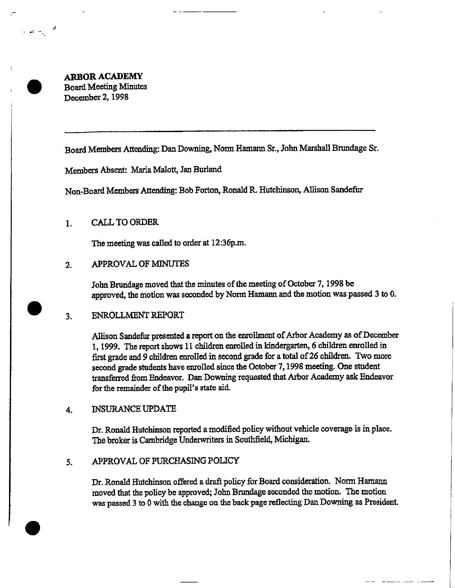**ARBOR ACADEMY** Board Meeting Minutes December 2, 1998

اقل المستقبل الماضي.<br>المريد المستقبل الماضي.

Board Members Attending: Dan Downing, Norm Hamann Sr., John Marshall Brandage Sr.

Members Absent: Maria Malott, Jan Burland

Non-Board Members Attending: Bob Forton, Ronald R. Hutchinson, Allison Sandefur

### CALL TO ORDER  $\mathbf{1}$ .

The meeting was called to order at 12:36p.m.

### APPROVAL OF MINUTES  $\overline{\mathbf{2}}$

John Brundage moved that the minutes of the meeting of October 7, 1998 be approved, the motion was seconded by Norm Hamann and the motion was passed 3 to 0.

### ENROLLMENT REPORT  $\overline{3}$ .

Allison Sandofur presented a report on the enrollment of Arbor Academy as of December 1, 1999. The report shows 11 children enrolled in kindergarten, 6 children enrolled in first grade and 9 children enrolled in second grade for a total of 26 children. Two more second grade students have enrolled since the October 7, 1998 meeting. One student transferred from Endeavor. Dan Downing requested that Arbor Academy ask Endeavor for the remainder of the pupil's state aid.

### INSURANCE UPDATE 4

Dr. Ronald Hutchinson reported a modified policy without vehicle coverage is in place. The broker is Cambridge Underwriters in Southfield, Michigan.

### APPROVAL OF PURCHASING POLICY 5.

Dr. Ronald Hutchinson offered a draft policy for Board consideration. Norm Hamann moved that the policy be approved; John Brundage seconded the motion. The motion was passed 3 to 0 with the change on the back page reflecting Dan Downing as President.